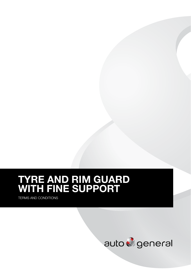# TYRE AND RIM GUARD WITH FINE SUPPORT

TERMS AND CONDITIONS

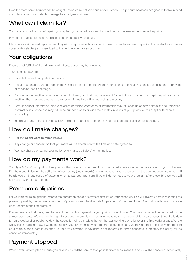Even the most careful drivers can be caught unawares by potholes and uneven roads. This product has been designed with this in mind and offers cover for accidental damage to your tyres and rims.

#### What can I claim for?

You can claim for the cost of repairing or replacing damaged tyres and/or rims fitted to the insured vehicle on the policy.

Payment is subject to the cover limits stated in the policy schedule.

If tyres and/or rims need replacement, they will be replaced with tyres and/or rims of a similar value and specification (up to the maximum cover limits selected) as those fitted to the vehicle when a loss occurred.

### Your obligations

If you do not fulfil all of the following obligations, cover may be cancelled.

Your obligations are to:

- Provide true and complete information.
- Use all reasonable care to maintain the vehicle in an efficient, roadworthy condition and take all reasonable precautions to prevent or minimise loss or damage.
- Be open about anything you have not yet disclosed, but that may be relevant for us to know in order to accept the policy, or about anything that changes that may be important for us to continue accepting the policy.
- Give us correct information. Non-disclosure or misrepresentation of information may influence us on any claim/s arising from your contract of insurance and may influence our decision to provide the benefits in terms of your policy, or to accept or terminate your policy.
- Inform us if any of the policy details or declarations are incorrect or if any of these details or declarations change.

#### How do I make changes?

- Call the Client Care number (below).
- Any change or cancellation that you make will be effective from the time and date agreed to.
- We may change or cancel your policy by giving you 31 days' written notice.

#### How do my payments work?

Your Tyre & Rim Guard policy gives you monthly cover and your premium is deducted in advance on the date stated on your schedule. If in the month following the activation of your policy (and onwards) we do not receive your premium on the due deduction date, you will be allowed a 15-day period of grace in which to pay your premium. If we still do not receive your premium after these 15 days, you will not have cover for that month.

#### Premium obligations

For your premium obligations, refer to the paragraph headed "payment details" on your schedule. This will give you details regarding the premium payable, the manner of payment of premiums and the due date for payment of your premiums. Your policy will only commence upon receipt of the first premium.

Please take note that we agreed to collect the monthly payment for your policy by debit order. Your debit order will be deducted on the agreed upon date. We reserve the right to deduct the premium on an alternative date in an attempt to ensure cover. Should this date fall on a weekend or public holiday, the deduction will be made either on the last working day prior to or the first working day after the weekend or public holiday. If we do not receive your premium on your preferred deduction date, we may attempt to collect your premium on a more suitable date in an effort to keep you covered. If payment is not received for three consecutive months, the policy will be cancelled immediately.

## Payment stopped

When cover is interrupted because you have instructed the bank to stop your debit order payment, the policy will be cancelled immediately.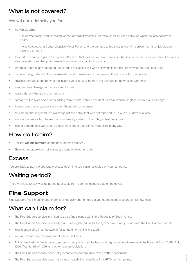#### What is not covered?

We will not indemnify you for:

- the vehicle while
	- it is or was being used for racing, speed or reliability testing, on trails, or for off-road activities when the loss occurred; and/or
	- it was covered by a Comprehensive Motor Policy, and the damage to the tyres and/or rims arose from a vehicle accident, hijacking or theft;
- the cost to repair or replace the tyres and/or rims, that was recoverable from any other insurance policy, or warranty. If a claim is also covered by another policy, we will only indemnify you for our portion;
- the tread depth of any damaged tyre fitted to the vehicle if it was below the legal limit (1mm) when the loss occurred;
- manufacturing defects in the workmanship and/or materials of the tyres and/or rims fitted to the vehicle;
- physical damage to the body of the insured vehicle resulting from the damage to the tyres and/or rims;
- wear and tear damage to the tyres and/or rims;
- repairs done without our prior approval;
- damage to the tyres and/or rims arising from a motor vehicle accident, or from misuse, neglect, or malicious damage;
- the damage that already existed when the policy commenced;
- an incident that may lead to a claim against the policy that was not reported to us within 30 days of a loss;
- any amount exceeding the maximum indemnity stated on the policy schedule; and/or
- loss or damage that was due to a deliberate act or if a claim is fraudulent in any way.

# How do I claim?

- Call the **Claims number** (on the back of this brochure).
- There is no paperwork all claims are handled telephonically!

#### Excess

You are liable to pay the applicable excess each time you claim, as stated on your schedule.

# Waiting period?

There will be a 30-day waiting period applicable from commencement date of the cover.

## **Fine Support**

Fine Support: We'll monitor and check for fines daily and to help get you guaranteed discounts on all new fines.

# What can I claim for?

- The Fine Support service is limited to traffic fines issued within the Republic of South Africa.
- The Fine Support service is limited to vehicles registered under the Tyre & Rim Guard product with the Fine Support benefit.
- Your membership must be paid in full at the time the fine is issued.
- You will be liable for the payment of the actual fine/s.
- At the time that the fine is issued, you must comply with all the legal and regulatory requirements of the National Road Traffic Act, 1996 (Act No. 93 of 1996) and other relevant legislation.
- The Fine Support service does not guarantee the performance of the traffic department.
- The Fine Support service does not include negotiating reductions in AARTO demerit points.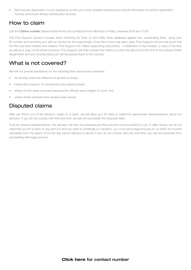• Services are dependent on you supplying us with your most updated personal and vehicle information ie vehicle registration number and South African identification number.

#### How to claim

Call the Claims number (below these terms and conditions) from Monday to Friday, between 8:00 and 17:00.

The Fine Support service includes them checking for fines on the traffic fines database against any outstanding fines, using your ID number and providing you with an invoice for fine payment(s). Once the invoice has been paid, Fine Support will provide proof that the fine has been settled and cleared. Fine Support will collect supporting documents - a statement of the incident, a copy of the fine, as well as a copy of the driver's licence. Fine Support will then present the merits to justify the discount of the fine to the relevant traffic department and any recovery/discount will be passed back to the insured.

#### What is not covered?

We will not provide assistance for the following fines received by members:

- for driving under the influence of alcohol or drugs;
- before the inception of membership (pre-existing fines);
- where no fine value is posted because the offense went straight to court; and
- where arrest warrants have already been issued.

#### Disputed claims

After we inform you of the decision made on a claim, we will allow you 90 days to make the appropriate representations about our decision. If you do not comply with this time limit, we will not reconsider the disputed claim.

If we do receive representations, the decision will then be reviewed and the outcome communicated to you. If, after review, we do not indemnify you for a claim or any part of it and you wish to challenge our decision, you must serve legal process on us within six months calculated from the expiry of the 90-day period referred to above. If you do not comply with this time limit, you will be prevented from proceeding with legal process.